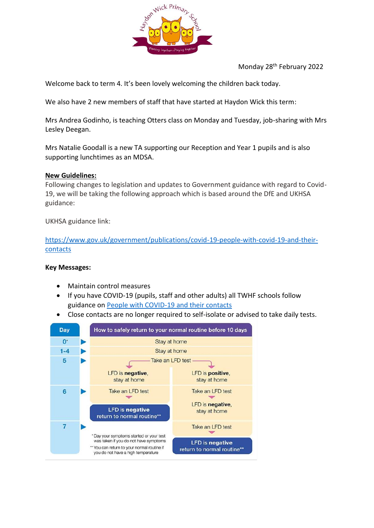

Monday 28th February 2022

Welcome back to term 4. It's been lovely welcoming the children back today.

We also have 2 new members of staff that have started at Haydon Wick this term:

Mrs Andrea Godinho, is teaching Otters class on Monday and Tuesday, job-sharing with Mrs Lesley Deegan.

Mrs Natalie Goodall is a new TA supporting our Reception and Year 1 pupils and is also supporting lunchtimes as an MDSA.

### **New Guidelines:**

Following changes to legislation and updates to Government guidance with regard to Covid-19, we will be taking the following approach which is based around the DfE and UKHSA guidance:

UKHSA guidance link:

[https://www.gov.uk/government/publications/covid-19-people-with-covid-19-and-their](https://www.gov.uk/government/publications/covid-19-people-with-covid-19-and-their-contacts)[contacts](https://www.gov.uk/government/publications/covid-19-people-with-covid-19-and-their-contacts)

#### **Key Messages:**

- Maintain control measures
- If you have COVID-19 (pupils, staff and other adults) all TWHF schools follow guidance on [People with COVID-19 and their contacts](https://www.gov.uk/government/publications/covid-19-people-with-covid-19-and-their-contacts)
- Close contacts are no longer required to self-isolate or advised to take daily tests.

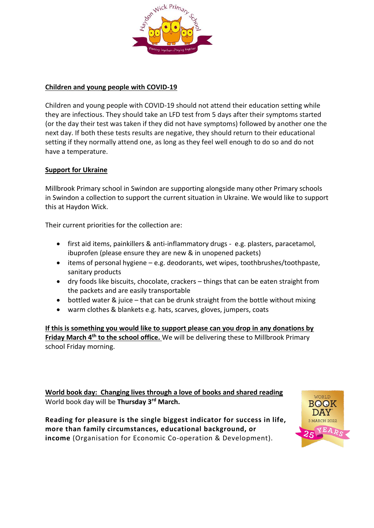

## **Children and young people with COVID-19**

Children and young people with COVID-19 should not attend their education setting while they are infectious. They should take an LFD test from 5 days after their symptoms started (or the day their test was taken if they did not have symptoms) followed by another one the next day. If both these tests results are negative, they should return to their educational setting if they normally attend one, as long as they feel well enough to do so and do not have a temperature.

### **Support for Ukraine**

Millbrook Primary school in Swindon are supporting alongside many other Primary schools in Swindon a collection to support the current situation in Ukraine. We would like to support this at Haydon Wick.

Their current priorities for the collection are:

- first aid items, painkillers & anti-inflammatory drugs e.g. plasters, paracetamol, ibuprofen (please ensure they are new & in unopened packets)
- items of personal hygiene e.g. deodorants, wet wipes, toothbrushes/toothpaste, sanitary products
- dry foods like biscuits, chocolate, crackers things that can be eaten straight from the packets and are easily transportable
- bottled water & juice that can be drunk straight from the bottle without mixing
- warm clothes & blankets e.g. hats, scarves, gloves, jumpers, coats

**If this is something you would like to support please can you drop in any donations by Friday March 4th to the school office.** We will be delivering these to Millbrook Primary school Friday morning.

**World book day: Changing lives through a love of books and shared reading** World book day will be **Thursday 3rd March.**

**Reading for pleasure is the single biggest indicator for success in life, more than family circumstances, educational background, or income** (Organisation for Economic Co-operation & Development).